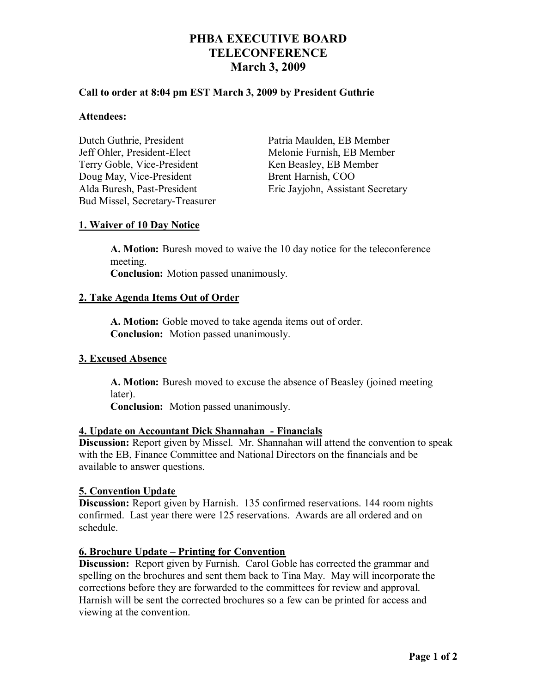# **PHBA EXECUTIVE BOARD TELECONFERENCE March 3, 2009**

## **Call to order at 8:04 pm EST March 3, 2009 by President Guthrie**

#### **Attendees:**

Dutch Guthrie, President Patria Maulden, EB Member Jeff Ohler, President-Elect Melonie Furnish, EB Member Terry Goble, Vice-President Ken Beasley, EB Member Doug May, Vice-President Brent Harnish, COO Bud Missel, Secretary-Treasurer

Alda Buresh, Past-President Eric Jayjohn, Assistant Secretary

## **1. Waiver of 10 Day Notice**

**A. Motion:** Buresh moved to waive the 10 day notice for the teleconference meeting. **Conclusion:** Motion passed unanimously.

## **2. Take Agenda Items Out of Order**

**A. Motion:** Goble moved to take agenda items out of order. **Conclusion:** Motion passed unanimously.

## **3. Excused Absence**

**A. Motion:** Buresh moved to excuse the absence of Beasley (joined meeting later).

**Conclusion:** Motion passed unanimously.

## **4. Update on Accountant Dick Shannahan - Financials**

**Discussion:** Report given by Missel. Mr. Shannahan will attend the convention to speak with the EB, Finance Committee and National Directors on the financials and be available to answer questions.

## **5. Convention Update**

**Discussion:** Report given by Harnish. 135 confirmed reservations. 144 room nights confirmed. Last year there were 125 reservations. Awards are all ordered and on schedule.

## **6. Brochure Update – Printing for Convention**

**Discussion:** Report given by Furnish. Carol Goble has corrected the grammar and spelling on the brochures and sent them back to Tina May. May will incorporate the corrections before they are forwarded to the committees for review and approval. Harnish will be sent the corrected brochures so a few can be printed for access and viewing at the convention.